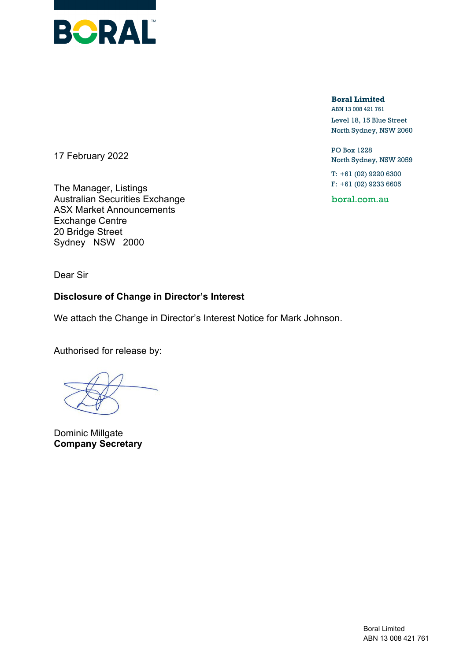

**Boral Limited** ABN 13 008 421 761

Level 18, 15 Blue Street North Sydney, NSW 2060

PO Box 1228 North Sydney, NSW 2059

T: +61 (02) 9220 6300 F: +61 (02) 9233 6605

boral.com.au

17 February 2022

The Manager, Listings Australian Securities Exchange ASX Market Announcements Exchange Centre 20 Bridge Street Sydney NSW 2000

Dear Sir

## **Disclosure of Change in Director's Interest**

We attach the Change in Director's Interest Notice for Mark Johnson.

Authorised for release by:

Dominic Millgate **Company Secretary**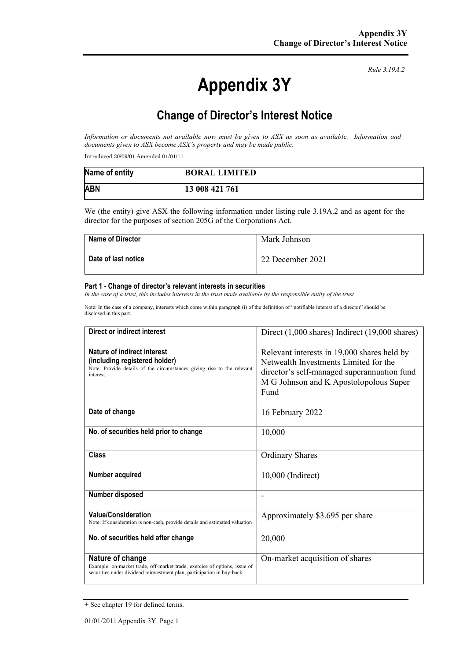# **Appendix 3Y**

*Rule 3.19A.2*

# **Change of Director's Interest Notice**

*Information or documents not available now must be given to ASX as soon as available. Information and documents given to ASX become ASX's property and may be made public.*

Introduced 30/09/01 Amended 01/01/11

| Name of entity | <b>BORAL LIMITED</b> |
|----------------|----------------------|
| <b>ABN</b>     | 13 008 421 761       |

We (the entity) give ASX the following information under listing rule 3.19A.2 and as agent for the director for the purposes of section 205G of the Corporations Act.

| <b>Name of Director</b> | Mark Johnson     |
|-------------------------|------------------|
| Date of last notice     | 22 December 2021 |

#### **Part 1 - Change of director's relevant interests in securities**

*In the case of a trust, this includes interests in the trust made available by the responsible entity of the trust*

Note: In the case of a company, interests which come within paragraph (i) of the definition of "notifiable interest of a director" should be disclosed in this part.

| Direct or indirect interest                                                                                                                                             | Direct $(1,000 \text{ shares})$ Indirect $(19,000 \text{ shares})$                                                                                                                    |
|-------------------------------------------------------------------------------------------------------------------------------------------------------------------------|---------------------------------------------------------------------------------------------------------------------------------------------------------------------------------------|
| Nature of indirect interest<br>(including registered holder)<br>Note: Provide details of the circumstances giving rise to the relevant<br>interest                      | Relevant interests in 19,000 shares held by<br>Netwealth Investments Limited for the<br>director's self-managed superannuation fund<br>M G Johnson and K Apostolopolous Super<br>Fund |
| Date of change                                                                                                                                                          | 16 February 2022                                                                                                                                                                      |
| No. of securities held prior to change                                                                                                                                  | 10,000                                                                                                                                                                                |
| Class                                                                                                                                                                   | <b>Ordinary Shares</b>                                                                                                                                                                |
| Number acquired                                                                                                                                                         | 10,000 (Indirect)                                                                                                                                                                     |
| Number disposed                                                                                                                                                         |                                                                                                                                                                                       |
| <b>Value/Consideration</b><br>Note: If consideration is non-cash, provide details and estimated valuation                                                               | Approximately \$3.695 per share                                                                                                                                                       |
| No. of securities held after change                                                                                                                                     | 20,000                                                                                                                                                                                |
| Nature of change<br>Example: on-market trade, off-market trade, exercise of options, issue of<br>securities under dividend reinvestment plan, participation in buy-back | On-market acquisition of shares                                                                                                                                                       |

<sup>+</sup> See chapter 19 for defined terms.